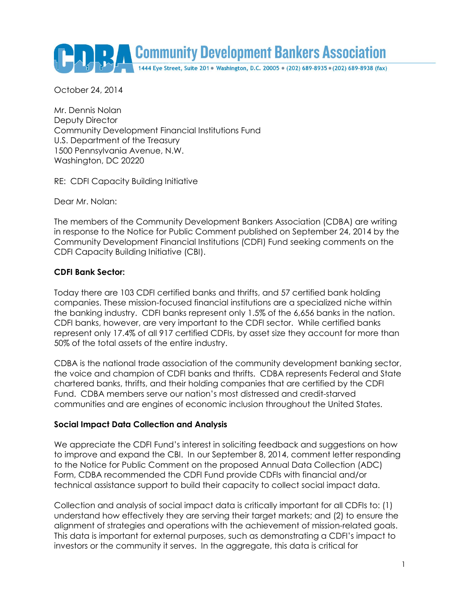Community Development Bankers Association

October 24, 2014

Mr. Dennis Nolan Deputy Director Community Development Financial Institutions Fund U.S. Department of the Treasury 1500 Pennsylvania Avenue, N.W. Washington, DC 20220

RE: CDFI Capacity Building Initiative

Dear Mr. Nolan:

The members of the Community Development Bankers Association (CDBA) are writing in response to the Notice for Public Comment published on September 24, 2014 by the Community Development Financial Institutions (CDFI) Fund seeking comments on the CDFI Capacity Building Initiative (CBI).

## **CDFI Bank Sector:**

Today there are 103 CDFI certified banks and thrifts, and 57 certified bank holding companies. These mission-focused financial institutions are a specialized niche within the banking industry. CDFI banks represent only 1.5% of the 6,656 banks in the nation. CDFI banks, however, are very important to the CDFI sector. While certified banks represent only 17.4% of all 917 certified CDFIs, by asset size they account for more than 50% of the total assets of the entire industry.

CDBA is the national trade association of the community development banking sector, the voice and champion of CDFI banks and thrifts. CDBA represents Federal and State chartered banks, thrifts, and their holding companies that are certified by the CDFI Fund. CDBA members serve our nation's most distressed and credit-starved communities and are engines of economic inclusion throughout the United States.

## **Social Impact Data Collection and Analysis**

We appreciate the CDFI Fund's interest in soliciting feedback and suggestions on how to improve and expand the CBI. In our September 8, 2014, comment letter responding to the Notice for Public Comment on the proposed Annual Data Collection (ADC) Form, CDBA recommended the CDFI Fund provide CDFIs with financial and/or technical assistance support to build their capacity to collect social impact data.

Collection and analysis of social impact data is critically important for all CDFIs to: (1) understand how effectively they are serving their target markets; and (2) to ensure the alignment of strategies and operations with the achievement of mission-related goals. This data is important for external purposes, such as demonstrating a CDFI's impact to investors or the community it serves. In the aggregate, this data is critical for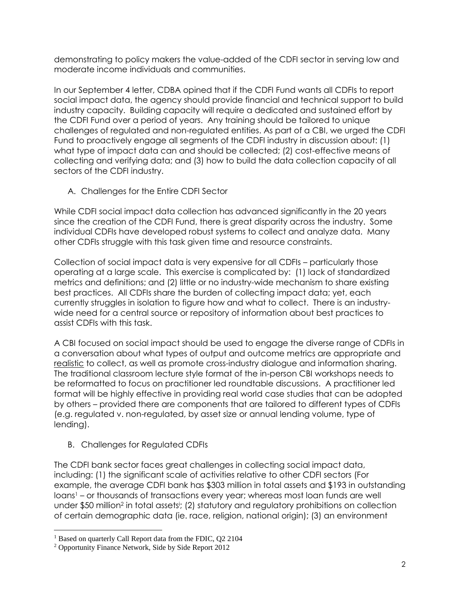demonstrating to policy makers the value-added of the CDFI sector in serving low and moderate income individuals and communities.

In our September 4 letter, CDBA opined that if the CDFI Fund wants all CDFIs to report social impact data, the agency should provide financial and technical support to build industry capacity. Building capacity will require a dedicated and sustained effort by the CDFI Fund over a period of years. Any training should be tailored to unique challenges of regulated and non-regulated entities. As part of a CBI, we urged the CDFI Fund to proactively engage all segments of the CDFI industry in discussion about: (1) what type of impact data can and should be collected; (2) cost-effective means of collecting and verifying data; and (3) how to build the data collection capacity of all sectors of the CDFI industry.

A. Challenges for the Entire CDFI Sector

While CDFI social impact data collection has advanced significantly in the 20 years since the creation of the CDFI Fund, there is great disparity across the industry. Some individual CDFIs have developed robust systems to collect and analyze data. Many other CDFIs struggle with this task given time and resource constraints.

Collection of social impact data is very expensive for all CDFIs – particularly those operating at a large scale. This exercise is complicated by: (1) lack of standardized metrics and definitions; and (2) little or no industry-wide mechanism to share existing best practices. All CDFIs share the burden of collecting impact data; yet, each currently struggles in isolation to figure how and what to collect. There is an industrywide need for a central source or repository of information about best practices to assist CDFIs with this task.

A CBI focused on social impact should be used to engage the diverse range of CDFIs in a conversation about what types of output and outcome metrics are appropriate and realistic to collect, as well as promote cross-industry dialogue and information sharing. The traditional classroom lecture style format of the in-person CBI workshops needs to be reformatted to focus on practitioner led roundtable discussions. A practitioner led format will be highly effective in providing real world case studies that can be adopted by others – provided there are components that are tailored to different types of CDFIs (e.g. regulated v. non-regulated, by asset size or annual lending volume, type of lending).

B. Challenges for Regulated CDFIs

The CDFI bank sector faces great challenges in collecting social impact data, including: (1) the significant scale of activities relative to other CDFI sectors (For example, the average CDFI bank has \$303 million in total assets and \$193 in outstanding loans<sup>1</sup> – or thousands of transactions every year; whereas most loan funds are well under \$50 million<sup>2</sup> in total assets<sup>i</sup>; (2) statutory and regulatory prohibitions on collection of certain demographic data (ie. race, religion, national origin); (3) an environment

 $\overline{a}$ 

<sup>&</sup>lt;sup>1</sup> Based on quarterly Call Report data from the FDIC, Q2 2104

<sup>2</sup> Opportunity Finance Network, Side by Side Report 2012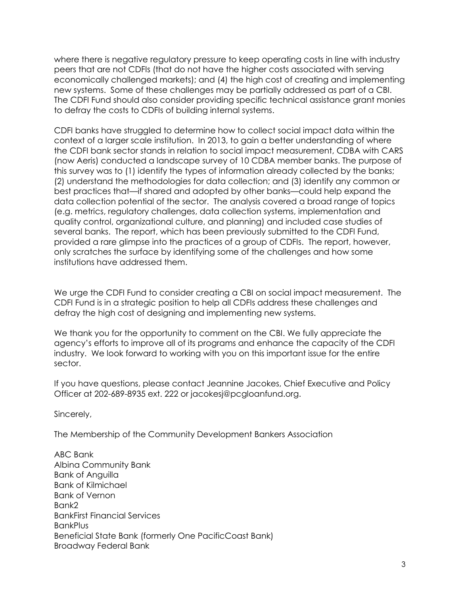where there is negative regulatory pressure to keep operating costs in line with industry peers that are not CDFIs (that do not have the higher costs associated with serving economically challenged markets); and (4) the high cost of creating and implementing new systems. Some of these challenges may be partially addressed as part of a CBI. The CDFI Fund should also consider providing specific technical assistance grant monies to defray the costs to CDFIs of building internal systems.

CDFI banks have struggled to determine how to collect social impact data within the context of a larger scale institution. In 2013, to gain a better understanding of where the CDFI bank sector stands in relation to social impact measurement, CDBA with CARS (now Aeris) conducted a landscape survey of 10 CDBA member banks. The purpose of this survey was to (1) identify the types of information already collected by the banks; (2) understand the methodologies for data collection; and (3) identify any common or best practices that—if shared and adopted by other banks—could help expand the data collection potential of the sector. The analysis covered a broad range of topics (e.g. metrics, regulatory challenges, data collection systems, implementation and quality control, organizational culture, and planning) and included case studies of several banks. The report, which has been previously submitted to the CDFI Fund, provided a rare glimpse into the practices of a group of CDFIs. The report, however, only scratches the surface by identifying some of the challenges and how some institutions have addressed them.

We urge the CDFI Fund to consider creating a CBI on social impact measurement. The CDFI Fund is in a strategic position to help all CDFIs address these challenges and defray the high cost of designing and implementing new systems.

We thank you for the opportunity to comment on the CBI. We fully appreciate the agency's efforts to improve all of its programs and enhance the capacity of the CDFI industry. We look forward to working with you on this important issue for the entire sector.

If you have questions, please contact Jeannine Jacokes, Chief Executive and Policy Officer at 202-689-8935 ext. 222 or jacokesj@pcgloanfund.org.

Sincerely,

The Membership of the Community Development Bankers Association

ABC Bank Albina Community Bank Bank of Anguilla Bank of Kilmichael Bank of Vernon Bank2 BankFirst Financial Services **BankPlus** Beneficial State Bank (formerly One PacificCoast Bank) Broadway Federal Bank